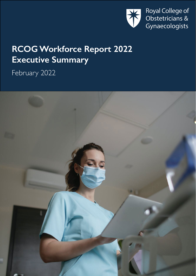

# **RCOG Workforce Report 2022 Executive Summary**

February 2022

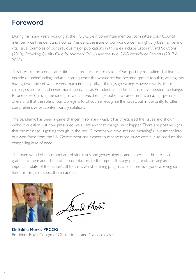# **Foreword**

During my many years working at the RCOG, be it committee member, committee chair, Council member, Vice President and now as President, the issue of our workforce has rightfully been a live and vital issue. Examples of our previous major publications in this area include 'Labour Ward Solutions' (2010), 'Providing Quality Care for Women' (2016) and the two O&G Workforce Reports (2017 & 2018).

This latest report comes at critical juncture for our profession. Our specialty has suffered at least a decade of underfunding and as a consequence the workforce has become spread too thin, waiting lists have grown, and yet we are very much in the spotlight if things go wrong. However, whilst these challenges are real and never more keenly felt, as President elect I felt the narrative needed to change, to one of recognising the strengths we all have, the huge options a career in this amazing specialty offers and that the role of our College is to of course recognise the issues, but importantly, to offer comprehensive yet contemporary solutions.

The pandemic has been a game changer in so many ways. It has crystallised the issues and shown without question just how pressured we all are and that change must happen. There are positive signs that the message is getting though. In the last 12 months we have secured meaningful investment into our workforce from the UK Government and expect to receive more as we continue to produce the compelling case of need.

The team who led this report are obstetricians and gynaecologists and experts in this area. I am grateful to them and all the other contributors to the report. It is a gripping read, carrying an important 'state of the nation' call to arms, whilst offering pragmatic solutions everyone working so hard for this great specialty can adopt.



Served Mont

**Dr Eddie Morris PRCOG** President, Royal College of Obstetricians and Gynaecologists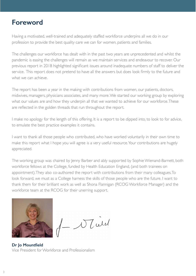## **Foreword**

Having a motivated, well-trained and adequately staffed workforce underpins all we do in our profession to provide the best quality care we can for women, patients and families.

The challenges our workforce has dealt with in the past two years are unprecedented and whilst the pandemic is easing the challenges will remain as we maintain services and endeavour to recover. Our previous report in 2018 highlighted significant issues around inadequate numbers of staff to deliver the service. This report does not pretend to have all the answers but does look firmly to the future and what we can achieve.

The report has been a year in the making with contributions from women, our patients, doctors, midwives, managers, physicians associates, and many more. We started our working group by exploring what our values are and how they underpin all that we wanted to achieve for our workforce. These are reflected in the golden threads that run throughout the report.

I make no apology for the length of this offering. It is a report to be dipped into, to look to for advice, to emulate the best practice examples it contains.

I want to thank all those people who contributed, who have worked voluntarily in their own time to make this report what I hope you will agree is a very useful resource. Your contributions are hugely appreciated.

The working group was chaired by Jenny Barber and ably supported by Sophie Wienand-Barnett, both workforce fellows at the College, funded by Health Education England, (and both trainees on appointment). They also co-authored the report with contributions from their many colleagues. To look forward, we must as a College harness the skills of those people who are the future. I want to thank them for their brilliant work as well as Shona Flannigan (RCOG Workforce Manager) and the workforce team at the RCOG for their unerring support.



Vlatel

**Dr Jo Mountfield** Vice President for Workforce and Professionalism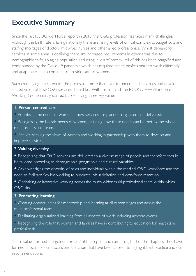# **Executive Summary**

Since the last RCOG workforce report in 2018, the O&G profession has faced many challenges. Although the birth rate is falling nationally, there are rising levels of clinical complexity, budget cuts and staffing shortages of doctors, midwives, nurses and other allied professionals. Whilst demand for services in some areas is declining, there are increased requirements in other areas due to demographic shifts, an aging population and rising levels of obesity. All of this has been magnified and compounded by the Covid-19 pandemic which has required health professionals to work differently and adapt services to continue to provide care to women.

Such challenging times require the profession more than ever to understand its values and develop a shared vision of how O&G services should be. With this in mind, the RCOG / HEE Workforce Working Group initially started by identifying three key values:

### **1. Person-centred care**

- **•** Prioritising the needs of women in how services are planned, organised and delivered.
- **•** Recognising the holistic needs of women, including how these needs can be met by the whole multi-professional team.

**•** Actively seeking the views of women and working in partnership with them to develop and improve services.

### **2. Valuing diversity**

- Recognising that O&G services are delivered to a diverse range of people and therefore should be tailored according to demographic, geographic and cultural variables.
- Acknowledging the diversity of roles and individuals within the medical O&G workforce and the need to facilitate flexible working to promote job satisfaction and workforce retention.

**•** Optimising collaborative working across the much wider multi-professional team within which O&G sits.

#### **3. Promoting learning**

- **•** Creating opportunities for mentorship and learning at all career stages and across the multi-professonal team.
- **•** Facilitating organisational learning from all aspects of work, including adverse events.
- **•** Recognising the role that women and families have in contributing to education for healthcare professionals.

These values formed the 'golden threads' of the report and run through all of the chapters. They have formed a focus for our discussions, the cases that have been chosen to highlight best practice and our recommendations.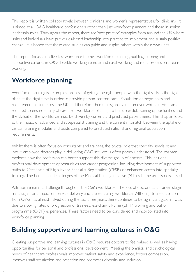This report is written collaboratively, between clinicians and women's representatives, for clinicians. It is aimed at all O&G healthcare professionals rather than just workforce planners and those in senior leadership roles. Throughout the report, there are 'best practice' examples from around the UK where units and individuals have put values-based leadership into practice to implement and sustain positive change. It is hoped that these case studies can guide and inspire others within their own units.

The report focuses on five key workforce themes; workforce planning, building learning and supportive cultures in O&G, flexible working, remote and rural working and multi-professional team working.

# **Workforce planning**

Workforce planning is a complex process of getting the right people with the right skills in the right place at the right time in order to provide person-centred care. Population demographics and requirements differ across the UK and therefore there is regional variation over which services are required to ensure equity of care. For workforce planning to be successful, training opportunities and the skillset of the workforce must be driven by current and predicted patient need. This chapter looks at the impact of advanced and subspecialist training and the current mismatch between the uptake of certain training modules and posts compared to predicted national and regional population requirements.

Whilst there is often focus on consultants and trainees, the pivotal role that specialty, specialist and locally employed doctors play in delivering O&G services is often poorly understood. The chapter explores how the profession can better support this diverse group of doctors. This includes professional development opportunities and career progression, including development of supported paths to Certificate of Eligibility for Specialist Registration (CESR) or enhanced access into specialty training. The benefits and challenges of the Medical Training Initiative (MTI) scheme are also discussed.

Attrition remains a challenge throughout the O&G workforce. The loss of doctors at all career stages has a significant impact on service delivery and the remaining workforce. Although trainee attrition from O&G has almost halved during the last three years, there continue to be significant gaps in rotas due to slowing rates of progression of trainees, less-than-full-time (LTFT) working and out of programme (OOP) experiences. These factors need to be considered and incorporated into workforce planning.

# **Building supportive and learning cultures in O&G**

Creating supportive and learning cultures in O&G requires doctors to feel valued as well as having opportunities for personal and professional development. Meeting the physical and psychological needs of healthcare professionals improves patient safety and experience, fosters compassion, improves staff satisfaction and retention and promotes diversity and inclusion.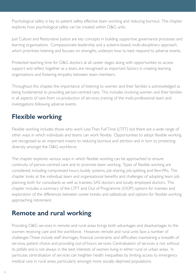Psychological safety is key to patient safety, effective team working and reducing burnout. The chapter explores how psychological safety can be created within O&G units.

Just Culture and Restorative Justice are key concepts in building supportive governance processes and learning organisations. Compassionate leadership and a systems-based, multi-disciplinary approach, which prioritises listening and focuses on strengths, underpin how to best respond to adverse events.

Protected teaching time for O&G doctors at all career stages along with opportunities to access support and reflect together as a team, are recognised as important factors in creating learning organisations and fostering empathy between team members.

Throughout this chapter, the importance of listening to women and their families is acknowledged as being fundamental to providing person-centred care. This includes involving women and their families in all aspects of care from co-production of services, training of the multi-professional team and investigations following adverse events.

# **Flexible working**

Flexible working includes those who work Less Than Full Time (LTFT) but there are a wide range of other ways in which individuals and teams can work flexibly. Opportunities to adopt flexible working are recognised as an important means to reducing burnout and attrition and in turn to protecting diversity amongst the O&G workforce.

The chapter explores various ways in which flexible working can be approached to ensure continuity of person-centred care and to promote team working. Types of flexible working are considered, including compressed hours, buddy systems, job-sharing, job-splitting and flexi-PAs. The chapter looks at the individual, team and organisational benefits and challenges of adopting team job planning, both for consultants as well as trainees, SAS doctors and locally employed doctors. This chapter includes a summary of the LTFT and Out of Programme (OOP) options for trainees and exploration of the differences between career breaks and sabbaticals and options for flexible working approaching retirement.

# **Remote and rural working**

Providing O&G services in remote and rural areas brings both advantages and disadvantages to the women receiving care and the workforce. However, remote and rural units face a number of challenges. These include staff shortages, financial constraints and difficulties maintaining a breadth of services, patient choice and providing out-of-hours services. Centralisation of services is not without its pitfalls and is not always in the best interests of women living in either rural or urban areas. In particular, centralisation of services can heighten health inequalities by limiting access to emergency medical care in rural areas, particularly amongst more socially deprived populations.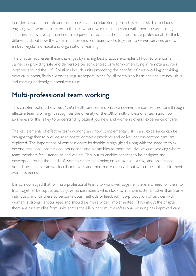In order to sustain remote and rural services, a multi-faceted approach is required. This includes engaging with women to listen to their views and work in partnership with them towards finding solutions. Innovative approaches are required to recruit and retain healthcare professionals, to think differently about how the wider multi-professional team works together to deliver services, and to embed regular individual and organisational learning.

The chapter addresses these challenges by sharing best practice examples of how to overcome barriers in providing safe and deliverable person-centred care for women living in remote and rural locations around the UK. Solutions include units promoting the benefits of rural working, providing practical support, flexible working, regular opportunities for all doctors to learn and acquire new skills and creating a friendly, supportive culture.

## **Multi-professional team working**

This chapter looks at how best O&G healthcare professionals can deliver person-centred care through effective team working. It recognises the diversity of the O&G multi-professional team and how awareness of this is key to understanding patient journeys and women's overall experience of care.

The key elements of effective team working, and how complementary skills and experience can be brought together to provide solutions to complex problems and deliver person-centred care, are explored. The importance of compassionate leadership is highlighted along with the need to think beyond traditional professional boundaries and hierarchies to more inclusive ways of working where team members feel listened to and valued. This in turn enables services to be designed and developed around the needs of women rather than being driven by cost savings and professional boundaries. Teams can work collaboratively and think more openly about who is best placed to meet women's needs.

It is acknowledged that for multi-professional teams to work well together there is a need for them to train together, be supported by governance systems which look to improve systems rather than blame individuals, and for there to be continuous methods of feedback. Co-production of services with women is strongly encouraged and should be more widely implemented. Throughout the chapter, there are case studies from units across the UK where multi-professional working has improved care.